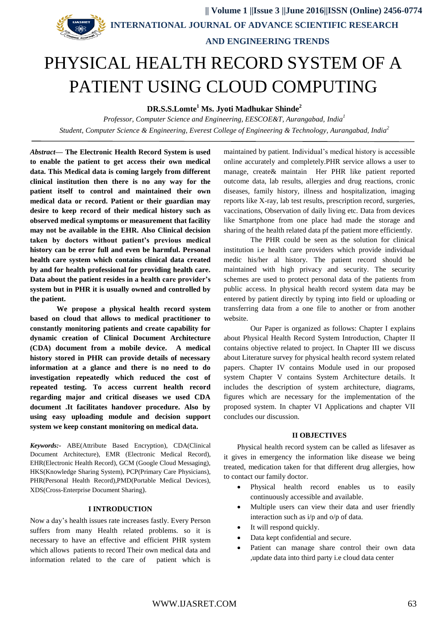

 **|| Volume 1 ||Issue 3 ||June 2016||ISSN (Online) 2456-0774 INTERNATIONAL JOURNAL OF ADVANCE SCIENTIFIC RESEARCH** 

# **AND ENGINEERING TRENDS**

# PHYSICAL HEALTH RECORD SYSTEM OF A PATIENT USING CLOUD COMPUTING

**DR.S.S.Lomte <sup>1</sup> Ms. Jyoti Madhukar Shinde<sup>2</sup>**

*Professor, Computer Science and Engineering, EESCOE&T, Aurangabad, India 1 Student, Computer Science & Engineering, Everest College of Engineering & Technology, Aurangabad, India<sup>2</sup>*

*Abstract***— The Electronic Health Record System is used to enable the patient to get access their own medical data. This Medical data is coming largely from different clinical institution then there is no any way for the patient itself to control and maintained their own medical data or record. Patient or their guardian may desire to keep record of their medical history such as observed medical symptoms or measurement that facility may not be available in the EHR. Also Clinical decision taken by doctors without patient's previous medical history can be error full and even be harmful. Personal health care system which contains clinical data created by and for health professional for providing health care. Data about the patient resides in a health care provider's system but in PHR it is usually owned and controlled by the patient.**

**We propose a physical health record system based on cloud that allows to medical practitioner to constantly monitoring patients and create capability for dynamic creation of Clinical Document Architecture (CDA) document from a mobile device. A medical history stored in PHR can provide details of necessary information at a glance and there is no need to do investigation repeatedly which reduced the cost of repeated testing. To access current health record regarding major and critical diseases we used CDA document .It facilitates handover procedure. Also by using easy uploading module and decision support system we keep constant monitoring on medical data.**

*Keywords:-* ABE(Attribute Based Encryption), CDA(Clinical Document Architecture), EMR (Electronic Medical Record), EHR(Electronic Health Record), GCM (Google Cloud Messaging), HKS(Knowledge Sharing System), PCP(Primary Care Physicians), PHR(Personal Health Record),PMD(Portable Medical Devices), XDS(Cross-Enterprise Document Sharing).

#### **I INTRODUCTION**

Now a day's health issues rate increases fastly. Every Person suffers from many Health related problems. so it is necessary to have an effective and efficient PHR system which allows patients to record Their own medical data and information related to the care of patient which is

maintained by patient. Individual's medical history is accessible online accurately and completely.PHR service allows a user to manage, create& maintain Her PHR like patient reported outcome data, lab results, allergies and drug reactions, cronic diseases, family history, illness and hospitalization, imaging reports like X-ray, lab test results, prescription record, surgeries, vaccinations, Observation of daily living etc. Data from devices like Smartphone from one place had made the storage and sharing of the health related data pf the patient more efficiently.

The PHR could be seen as the solution for clinical institution i.e health care providers which provide individual medic his/her al history. The patient record should be maintained with high privacy and security. The security schemes are used to protect personal data of the patients from public access. In physical health record system data may be entered by patient directly by typing into field or uploading or transferring data from a one file to another or from another website.

Our Paper is organized as follows: Chapter I explains about Physical Health Record System Introduction, Chapter II contains objective related to project. In Chapter III we discuss about Literature survey for physical health record system related papers. Chapter IV contains Module used in our proposed system Chapter V contains System Architecture details. It includes the description of system architecture, diagrams, figures which are necessary for the implementation of the proposed system. In chapter VI Applications and chapter VII concludes our discussion.

#### **II OBJECTIVES**

Physical health record system can be called as lifesaver as it gives in emergency the information like disease we being treated, medication taken for that different drug allergies, how to contact our family doctor.

- Physical health record enables us to easily continuously accessible and available.
- Multiple users can view their data and user friendly interaction such as i/p and o/p of data.
- It will respond quickly.
- Data kept confidential and secure.
- Patient can manage share control their own data ,update data into third party i.e cloud data center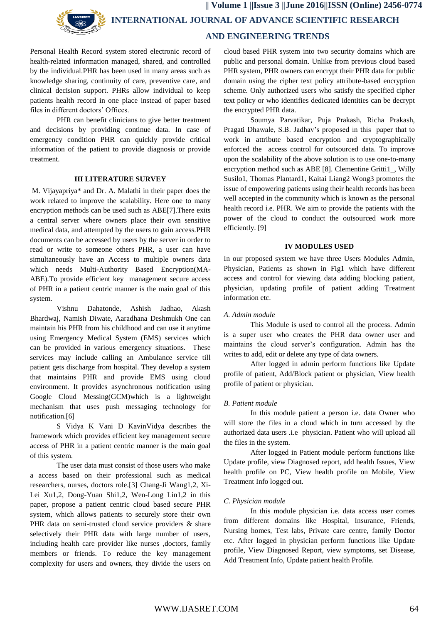**|| Volume 1 ||Issue 3 ||June 2016||ISSN (Online) 2456-0774 INTERNATIONAL JOURNAL OF ADVANCE SCIENTIFIC RESEARCH** 

 **AND ENGINEERING TRENDS**

Personal Health Record system stored electronic record of health-related information managed, shared, and controlled by the individual.PHR has been used in many areas such as knowledge sharing, continuity of care, preventive care, and clinical decision support. PHRs allow individual to keep patients health record in one place instead of paper based files in different doctors' Offices.

PHR can benefit clinicians to give better treatment and decisions by providing continue data. In case of emergency condition PHR can quickly provide critical information of the patient to provide diagnosis or provide treatment.

#### **III LITERATURE SURVEY**

M. Vijayapriya\* and Dr. A. Malathi in their paper does the work related to improve the scalability. Here one to many encryption methods can be used such as ABE[7].There exits a central server where owners place their own sensitive medical data, and attempted by the users to gain access.PHR documents can be accessed by users by the server in order to read or write to someone others PHR, a user can have simultaneously have an Access to multiple owners data which needs Multi-Authority Based Encryption(MA-ABE).To provide efficient key management secure access of PHR in a patient centric manner is the main goal of this system.

Vishnu Dahatonde, Ashish Jadhao, Akash Bhardwaj, Namish Diwate, Aaradhana Deshmukh One can maintain his PHR from his childhood and can use it anytime using Emergency Medical System (EMS) services which can be provided in various emergency situations. These services may include calling an Ambulance service till patient gets discharge from hospital. They develop a system that maintains PHR and provide EMS using cloud environment. It provides asynchronous notification using Google Cloud Messing(GCM)which is a lightweight mechanism that uses push messaging technology for notification.[6]

S Vidya K Vani D KavinVidya describes the framework which provides efficient key management secure access of PHR in a patient centric manner is the main goal of this system.

The user data must consist of those users who make a access based on their professional such as medical researchers, nurses, doctors role.[3] Chang-Ji Wang1,2, Xi-Lei Xu1,2, Dong-Yuan Shi1,2, Wen-Long Lin1,2 in this paper, propose a patient centric cloud based secure PHR system, which allows patients to securely store their own PHR data on semi-trusted cloud service providers & share selectively their PHR data with large number of users, including health care provider like nurses ,doctors, family members or friends. To reduce the key management complexity for users and owners, they divide the users on

cloud based PHR system into two security domains which are public and personal domain. Unlike from previous cloud based PHR system, PHR owners can encrypt their PHR data for public domain using the cipher text policy attribute-based encryption scheme. Only authorized users who satisfy the specified cipher text policy or who identifies dedicated identities can be decrypt the encrypted PHR data.

Soumya Parvatikar, Puja Prakash, Richa Prakash, Pragati Dhawale, S.B. Jadhav's proposed in this paper that to work in attribute based encryption and cryptographically enforced the access control for outsourced data. To improve upon the scalability of the above solution is to use one-to-many encryption method such as ABE [8]. Clementine Gritti1\_, Willy Susilo1, Thomas Plantard1, Kaitai Liang2 Wong3 promotes the issue of empowering patients using their health records has been well accepted in the community which is known as the personal health record i.e. PHR. We aim to provide the patients with the power of the cloud to conduct the outsourced work more efficiently. [9]

#### **IV MODULES USED**

In our proposed system we have three Users Modules Admin, Physician, Patients as shown in Fig1 which have different access and control for viewing data adding blocking patient, physician, updating profile of patient adding Treatment information etc.

#### *A. Admin module*

This Module is used to control all the process. Admin is a super user who creates the PHR data owner user and maintains the cloud server's configuration. Admin has the writes to add, edit or delete any type of data owners.

After logged in admin perform functions like Update profile of patient, Add/Block patient or physician, View health profile of patient or physician.

#### *B. Patient module*

In this module patient a person i.e. data Owner who will store the files in a cloud which in turn accessed by the authorized data users .i.e physician. Patient who will upload all the files in the system.

After logged in Patient module perform functions like Update profile, view Diagnosed report, add health Issues, View health profile on PC, View health profile on Mobile, View Treatment Info logged out.

#### *C. Physician module*

In this module physician i.e. data access user comes from different domains like Hospital, Insurance, Friends, Nursing homes, Test labs, Private care centre, family Doctor etc. After logged in physician perform functions like Update profile, View Diagnosed Report, view symptoms, set Disease, Add Treatment Info, Update patient health Profile.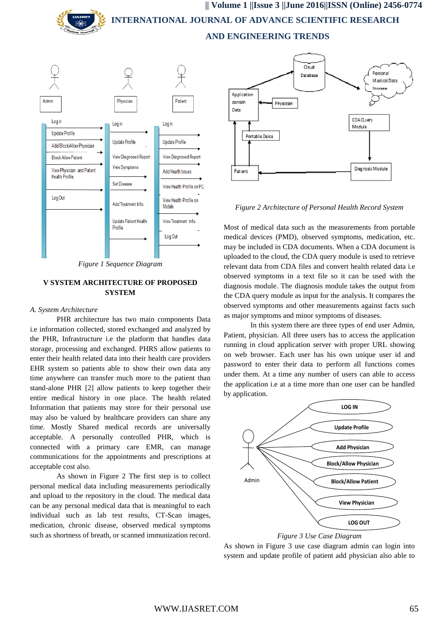**|| Volume 1 ||Issue 3 ||June 2016||ISSN (Online) 2456-0774 INTERNATIONAL JOURNAL OF ADVANCE SCIENTIFIC RESEARCH AND ENGINEERING TRENDS**



*Figure 1 Sequence Diagram*

## **V SYSTEM ARCHITECTURE OF PROPOSED SYSTEM**

#### *A. System Architecture*

PHR architecture has two main components Data i.e information collected, stored exchanged and analyzed by the PHR, Infrastructure i.e the platform that handles data storage, processing and exchanged. PHRS allow patients to enter their health related data into their health care providers EHR system so patients able to show their own data any time anywhere can transfer much more to the patient than stand-alone PHR [2] allow patients to keep together their entire medical history in one place. The health related Information that patients may store for their personal use may also be valued by healthcare providers can share any time. Mostly Shared medical records are universally acceptable. A personally controlled PHR, which is connected with a primary care EMR, can manage communications for the appointments and prescriptions at acceptable cost also.

As shown in Figure 2 The first step is to collect personal medical data including measurements periodically and upload to the repository in the cloud. The medical data can be any personal medical data that is meaningful to each individual such as lab test results, CT-Scan images, medication, chronic disease, observed medical symptoms such as shortness of breath, or scanned immunization record.



*Figure 2 Architecture of Personal Health Record System*

Most of medical data such as the measurements from portable medical devices (PMD), observed symptoms, medication, etc. may be included in CDA documents. When a CDA document is uploaded to the cloud, the CDA query module is used to retrieve relevant data from CDA files and convert health related data i.e observed symptoms in a text file so it can be used with the diagnosis module. The diagnosis module takes the output from the CDA query module as input for the analysis. It compares the observed symptoms and other measurements against facts such as major symptoms and minor symptoms of diseases.

In this system there are three types of end user Admin, Patient, physician. All three users has to access the application running in cloud application server with proper URL showing on web browser. Each user has his own unique user id and password to enter their data to perform all functions comes under them. At a time any number of users can able to access the application i.e at a time more than one user can be handled by application.





As shown in Figure 3 use case diagram admin can login into system and update profile of patient add physician also able to